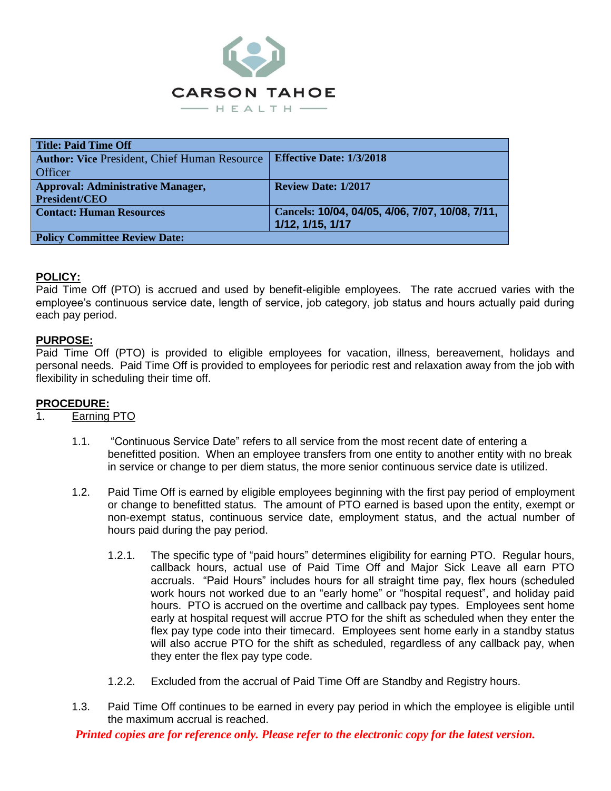

| Title: Paid Time Off                                |                                                 |
|-----------------------------------------------------|-------------------------------------------------|
| <b>Author: Vice President, Chief Human Resource</b> | <b>Effective Date: 1/3/2018</b>                 |
| <b>Officer</b>                                      |                                                 |
| <b>Approval: Administrative Manager,</b>            | <b>Review Date: 1/2017</b>                      |
| <b>President/CEO</b>                                |                                                 |
| <b>Contact: Human Resources</b>                     | Cancels: 10/04, 04/05, 4/06, 7/07, 10/08, 7/11, |
|                                                     | 1/12, 1/15, 1/17                                |
| <b>Policy Committee Review Date:</b>                |                                                 |

### **POLICY:**

Paid Time Off (PTO) is accrued and used by benefit-eligible employees. The rate accrued varies with the employee's continuous service date, length of service, job category, job status and hours actually paid during each pay period.

### **PURPOSE:**

Paid Time Off (PTO) is provided to eligible employees for vacation, illness, bereavement, holidays and personal needs. Paid Time Off is provided to employees for periodic rest and relaxation away from the job with flexibility in scheduling their time off.

## **PROCEDURE:**

## 1. Earning PTO

- 1.1. "Continuous Service Date" refers to all service from the most recent date of entering a benefitted position. When an employee transfers from one entity to another entity with no break in service or change to per diem status, the more senior continuous service date is utilized.
- 1.2. Paid Time Off is earned by eligible employees beginning with the first pay period of employment or change to benefitted status. The amount of PTO earned is based upon the entity, exempt or non-exempt status, continuous service date, employment status, and the actual number of hours paid during the pay period.
	- 1.2.1. The specific type of "paid hours" determines eligibility for earning PTO. Regular hours, callback hours, actual use of Paid Time Off and Major Sick Leave all earn PTO accruals. "Paid Hours" includes hours for all straight time pay, flex hours (scheduled work hours not worked due to an "early home" or "hospital request", and holiday paid hours. PTO is accrued on the overtime and callback pay types. Employees sent home early at hospital request will accrue PTO for the shift as scheduled when they enter the flex pay type code into their timecard. Employees sent home early in a standby status will also accrue PTO for the shift as scheduled, regardless of any callback pay, when they enter the flex pay type code.
	- 1.2.2. Excluded from the accrual of Paid Time Off are Standby and Registry hours.
- 1.3. Paid Time Off continues to be earned in every pay period in which the employee is eligible until the maximum accrual is reached.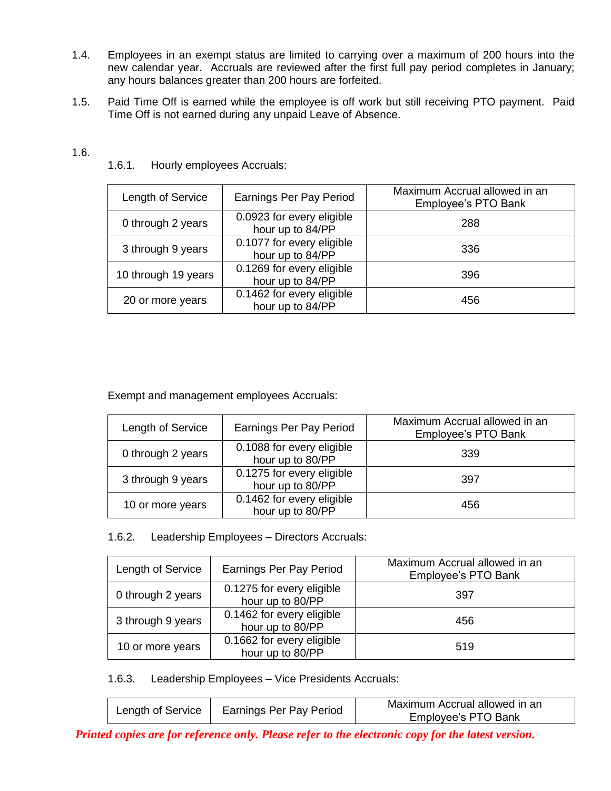- 1.4. Employees in an exempt status are limited to carrying over a maximum of 200 hours into the new calendar year. Accruals are reviewed after the first full pay period completes in January; any hours balances greater than 200 hours are forfeited.
- 1.5. Paid Time Off is earned while the employee is off work but still receiving PTO payment. Paid Time Off is not earned during any unpaid Leave of Absence.

| Length of Service   | Earnings Per Pay Period                       | Maximum Accrual allowed in an<br>Employee's PTO Bank |
|---------------------|-----------------------------------------------|------------------------------------------------------|
| 0 through 2 years   | 0.0923 for every eligible<br>hour up to 84/PP | 288                                                  |
| 3 through 9 years   | 0.1077 for every eligible<br>hour up to 84/PP | 336                                                  |
| 10 through 19 years | 0.1269 for every eligible<br>hour up to 84/PP | 396                                                  |
| 20 or more years    | 0.1462 for every eligible<br>hour up to 84/PP | 456                                                  |

1.6.1. Hourly employees Accruals:

Exempt and management employees Accruals:

| Length of Service | Earnings Per Pay Period                       | Maximum Accrual allowed in an<br>Employee's PTO Bank |
|-------------------|-----------------------------------------------|------------------------------------------------------|
| 0 through 2 years | 0.1088 for every eligible<br>hour up to 80/PP | 339                                                  |
| 3 through 9 years | 0.1275 for every eligible<br>hour up to 80/PP | 397                                                  |
| 10 or more years  | 0.1462 for every eligible<br>hour up to 80/PP | 456                                                  |

1.6.2. Leadership Employees – Directors Accruals:

| Length of Service | Earnings Per Pay Period                       | Maximum Accrual allowed in an<br>Employee's PTO Bank |
|-------------------|-----------------------------------------------|------------------------------------------------------|
| 0 through 2 years | 0.1275 for every eligible<br>hour up to 80/PP | 397                                                  |
| 3 through 9 years | 0.1462 for every eligible<br>hour up to 80/PP | 456                                                  |
| 10 or more years  | 0.1662 for every eligible<br>hour up to 80/PP | 519                                                  |

1.6.3. Leadership Employees – Vice Presidents Accruals:

| Length of Service | Earnings Per Pay Period | Maximum Accrual allowed in an<br>Employee's PTO Bank |
|-------------------|-------------------------|------------------------------------------------------|
|-------------------|-------------------------|------------------------------------------------------|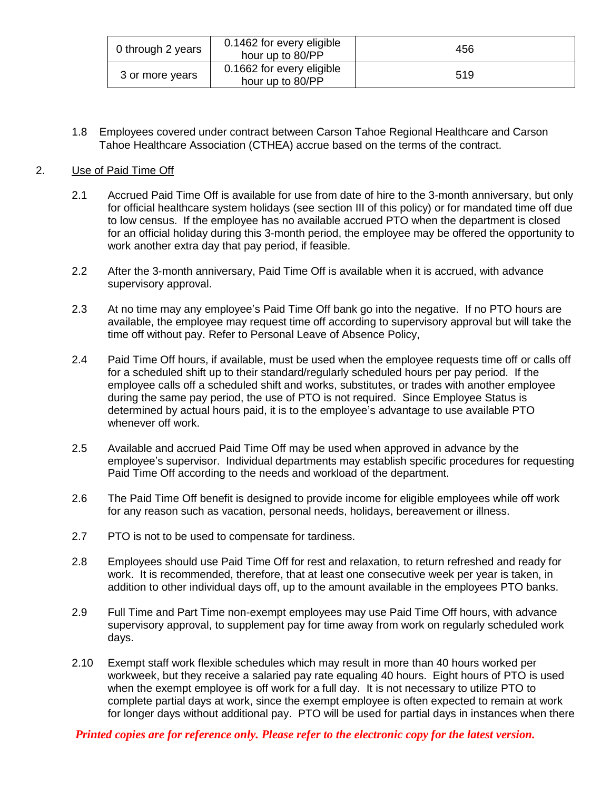| 0 through 2 years | 0.1462 for every eligible<br>hour up to 80/PP | 456 |
|-------------------|-----------------------------------------------|-----|
| 3 or more years   | 0.1662 for every eligible<br>hour up to 80/PP | 519 |

1.8 Employees covered under contract between Carson Tahoe Regional Healthcare and Carson Tahoe Healthcare Association (CTHEA) accrue based on the terms of the contract.

## 2. Use of Paid Time Off

- 2.1 Accrued Paid Time Off is available for use from date of hire to the 3-month anniversary, but only for official healthcare system holidays (see section III of this policy) or for mandated time off due to low census. If the employee has no available accrued PTO when the department is closed for an official holiday during this 3-month period, the employee may be offered the opportunity to work another extra day that pay period, if feasible.
- 2.2 After the 3-month anniversary, Paid Time Off is available when it is accrued, with advance supervisory approval.
- 2.3 At no time may any employee's Paid Time Off bank go into the negative. If no PTO hours are available, the employee may request time off according to supervisory approval but will take the time off without pay. Refer to Personal Leave of Absence Policy,
- 2.4 Paid Time Off hours, if available, must be used when the employee requests time off or calls off for a scheduled shift up to their standard/regularly scheduled hours per pay period. If the employee calls off a scheduled shift and works, substitutes, or trades with another employee during the same pay period, the use of PTO is not required. Since Employee Status is determined by actual hours paid, it is to the employee's advantage to use available PTO whenever off work.
- 2.5 Available and accrued Paid Time Off may be used when approved in advance by the employee's supervisor. Individual departments may establish specific procedures for requesting Paid Time Off according to the needs and workload of the department.
- 2.6 The Paid Time Off benefit is designed to provide income for eligible employees while off work for any reason such as vacation, personal needs, holidays, bereavement or illness.
- 2.7 PTO is not to be used to compensate for tardiness.
- 2.8 Employees should use Paid Time Off for rest and relaxation, to return refreshed and ready for work. It is recommended, therefore, that at least one consecutive week per year is taken, in addition to other individual days off, up to the amount available in the employees PTO banks.
- 2.9 Full Time and Part Time non-exempt employees may use Paid Time Off hours, with advance supervisory approval, to supplement pay for time away from work on regularly scheduled work days.
- 2.10 Exempt staff work flexible schedules which may result in more than 40 hours worked per workweek, but they receive a salaried pay rate equaling 40 hours. Eight hours of PTO is used when the exempt employee is off work for a full day. It is not necessary to utilize PTO to complete partial days at work, since the exempt employee is often expected to remain at work for longer days without additional pay. PTO will be used for partial days in instances when there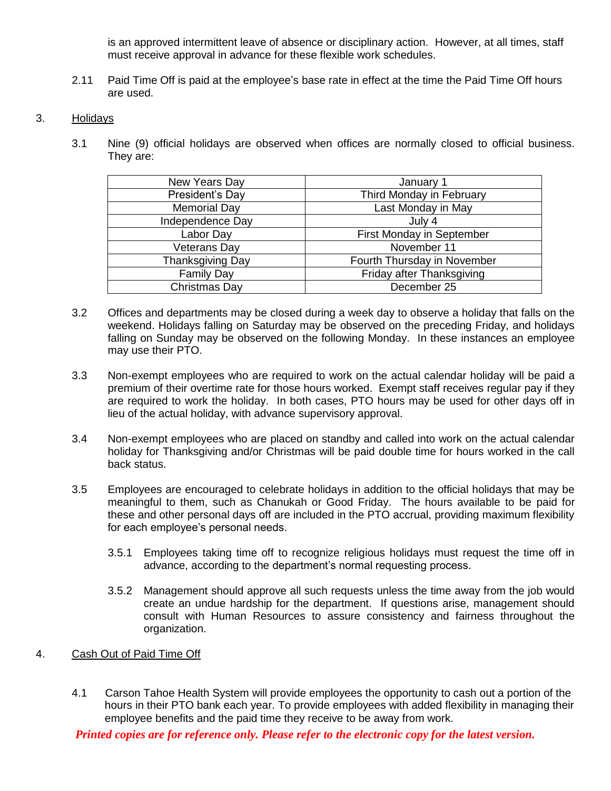is an approved intermittent leave of absence or disciplinary action. However, at all times, staff must receive approval in advance for these flexible work schedules.

2.11 Paid Time Off is paid at the employee's base rate in effect at the time the Paid Time Off hours are used.

## 3. Holidays

3.1 Nine (9) official holidays are observed when offices are normally closed to official business. They are:

| New Years Day       | January 1                   |
|---------------------|-----------------------------|
| President's Day     | Third Monday in February    |
| <b>Memorial Day</b> | Last Monday in May          |
| Independence Day    | July 4                      |
| Labor Day           | First Monday in September   |
| <b>Veterans Day</b> | November 11                 |
| Thanksgiving Day    | Fourth Thursday in November |
| <b>Family Day</b>   | Friday after Thanksgiving   |
| Christmas Day       | December 25                 |

- 3.2 Offices and departments may be closed during a week day to observe a holiday that falls on the weekend. Holidays falling on Saturday may be observed on the preceding Friday, and holidays falling on Sunday may be observed on the following Monday. In these instances an employee may use their PTO.
- 3.3 Non-exempt employees who are required to work on the actual calendar holiday will be paid a premium of their overtime rate for those hours worked. Exempt staff receives regular pay if they are required to work the holiday. In both cases, PTO hours may be used for other days off in lieu of the actual holiday, with advance supervisory approval.
- 3.4 Non-exempt employees who are placed on standby and called into work on the actual calendar holiday for Thanksgiving and/or Christmas will be paid double time for hours worked in the call back status.
- 3.5 Employees are encouraged to celebrate holidays in addition to the official holidays that may be meaningful to them, such as Chanukah or Good Friday. The hours available to be paid for these and other personal days off are included in the PTO accrual, providing maximum flexibility for each employee's personal needs.
	- 3.5.1 Employees taking time off to recognize religious holidays must request the time off in advance, according to the department's normal requesting process.
	- 3.5.2 Management should approve all such requests unless the time away from the job would create an undue hardship for the department. If questions arise, management should consult with Human Resources to assure consistency and fairness throughout the organization.
- 4. Cash Out of Paid Time Off
	- 4.1 Carson Tahoe Health System will provide employees the opportunity to cash out a portion of the hours in their PTO bank each year. To provide employees with added flexibility in managing their employee benefits and the paid time they receive to be away from work.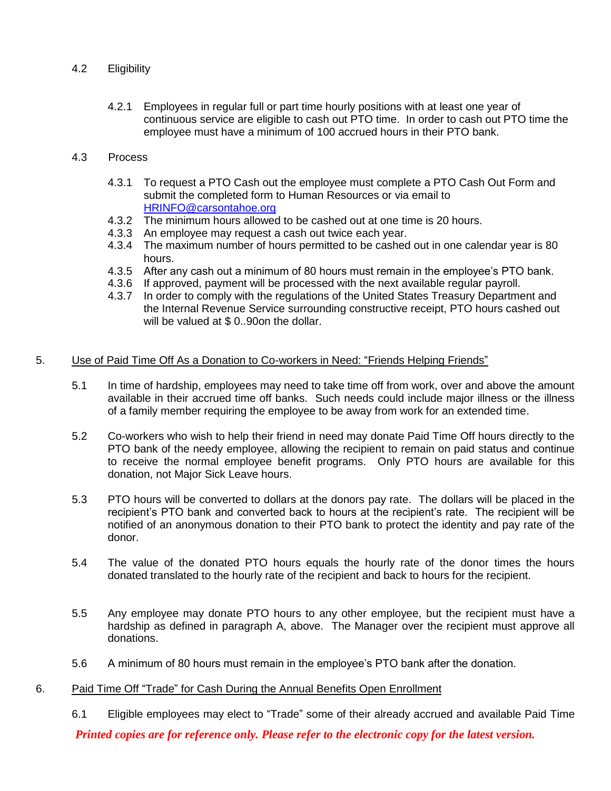# 4.2 Eligibility

4.2.1 Employees in regular full or part time hourly positions with at least one year of continuous service are eligible to cash out PTO time. In order to cash out PTO time the employee must have a minimum of 100 accrued hours in their PTO bank.

# 4.3 Process

- 4.3.1 To request a PTO Cash out the employee must complete a PTO Cash Out Form and submit the completed form to Human Resources or via email to [HRINFO@carsontahoe.org](mailto:HRINFO@carsontahoe.org)
- 4.3.2 The minimum hours allowed to be cashed out at one time is 20 hours.
- 4.3.3 An employee may request a cash out twice each year.
- 4.3.4 The maximum number of hours permitted to be cashed out in one calendar year is 80 hours.
- 4.3.5 After any cash out a minimum of 80 hours must remain in the employee's PTO bank.
- 4.3.6 If approved, payment will be processed with the next available regular payroll.
- 4.3.7 In order to comply with the regulations of the United States Treasury Department and the Internal Revenue Service surrounding constructive receipt, PTO hours cashed out will be valued at \$0..90on the dollar.

### 5. Use of Paid Time Off As a Donation to Co-workers in Need: "Friends Helping Friends"

- 5.1 In time of hardship, employees may need to take time off from work, over and above the amount available in their accrued time off banks. Such needs could include major illness or the illness of a family member requiring the employee to be away from work for an extended time.
- 5.2 Co-workers who wish to help their friend in need may donate Paid Time Off hours directly to the PTO bank of the needy employee, allowing the recipient to remain on paid status and continue to receive the normal employee benefit programs. Only PTO hours are available for this donation, not Major Sick Leave hours.
- 5.3 PTO hours will be converted to dollars at the donors pay rate. The dollars will be placed in the recipient's PTO bank and converted back to hours at the recipient's rate. The recipient will be notified of an anonymous donation to their PTO bank to protect the identity and pay rate of the donor.
- 5.4 The value of the donated PTO hours equals the hourly rate of the donor times the hours donated translated to the hourly rate of the recipient and back to hours for the recipient.
- 5.5 Any employee may donate PTO hours to any other employee, but the recipient must have a hardship as defined in paragraph A, above. The Manager over the recipient must approve all donations.
- 5.6 A minimum of 80 hours must remain in the employee's PTO bank after the donation.

## 6. Paid Time Off "Trade" for Cash During the Annual Benefits Open Enrollment

6.1 Eligible employees may elect to "Trade" some of their already accrued and available Paid Time